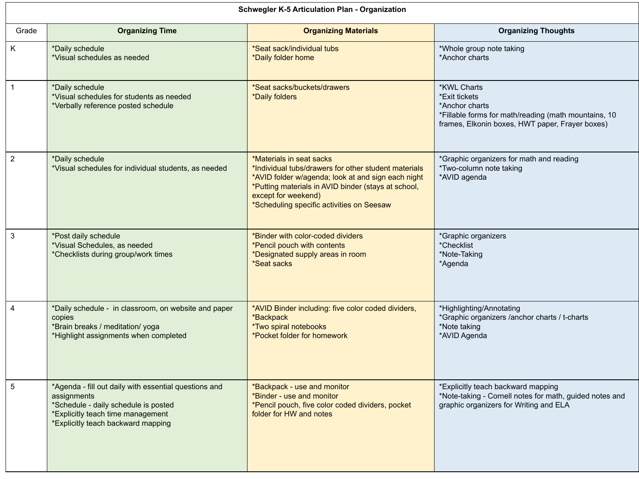| <b>Schwegler K-5 Articulation Plan - Organization</b> |                                                                                                                                                                                         |                                                                                                                                                                                                                                                                   |                                                                                                                                                                  |  |
|-------------------------------------------------------|-----------------------------------------------------------------------------------------------------------------------------------------------------------------------------------------|-------------------------------------------------------------------------------------------------------------------------------------------------------------------------------------------------------------------------------------------------------------------|------------------------------------------------------------------------------------------------------------------------------------------------------------------|--|
| Grade                                                 | <b>Organizing Time</b>                                                                                                                                                                  | <b>Organizing Materials</b>                                                                                                                                                                                                                                       | <b>Organizing Thoughts</b>                                                                                                                                       |  |
| K                                                     | *Daily schedule<br>*Visual schedules as needed                                                                                                                                          | *Seat sack/individual tubs<br>*Daily folder home                                                                                                                                                                                                                  | *Whole group note taking<br>*Anchor charts                                                                                                                       |  |
|                                                       | *Daily schedule<br>*Visual schedules for students as needed<br>*Verbally reference posted schedule                                                                                      | *Seat sacks/buckets/drawers<br>*Daily folders                                                                                                                                                                                                                     | <b>*KWL Charts</b><br>*Exit tickets<br>*Anchor charts<br>*Fillable forms for math/reading (math mountains, 10<br>frames, Elkonin boxes, HWT paper, Frayer boxes) |  |
| $\overline{2}$                                        | *Daily schedule<br>*Visual schedules for individual students, as needed                                                                                                                 | *Materials in seat sacks<br>*Individual tubs/drawers for other student materials<br>*AVID folder w/agenda; look at and sign each night<br>*Putting materials in AVID binder (stays at school,<br>except for weekend)<br>*Scheduling specific activities on Seesaw | *Graphic organizers for math and reading<br>*Two-column note taking<br>*AVID agenda                                                                              |  |
| $\mathfrak{S}$                                        | *Post daily schedule<br>*Visual Schedules, as needed<br>*Checklists during group/work times                                                                                             | *Binder with color-coded dividers<br>*Pencil pouch with contents<br>*Designated supply areas in room<br>*Seat sacks                                                                                                                                               | *Graphic organizers<br>*Checklist<br>*Note-Taking<br>*Agenda                                                                                                     |  |
| 4                                                     | *Daily schedule - in classroom, on website and paper<br>copies<br>*Brain breaks / meditation/ yoga<br>*Highlight assignments when completed                                             | *AVID Binder including: five color coded dividers,<br>*Backpack<br><i>*Two spiral notebooks</i><br>*Pocket folder for homework                                                                                                                                    | *Highlighting/Annotating<br>*Graphic organizers /anchor charts / t-charts<br>*Note taking<br>*AVID Agenda                                                        |  |
| $\overline{5}$                                        | *Agenda - fill out daily with essential questions and<br>assignments<br>*Schedule - daily schedule is posted<br>*Explicitly teach time management<br>*Explicitly teach backward mapping | *Backpack - use and monitor<br>*Binder - use and monitor<br>*Pencil pouch, five color coded dividers, pocket<br>folder for HW and notes                                                                                                                           | *Explicitly teach backward mapping<br>*Note-taking - Cornell notes for math, guided notes and<br>graphic organizers for Writing and ELA                          |  |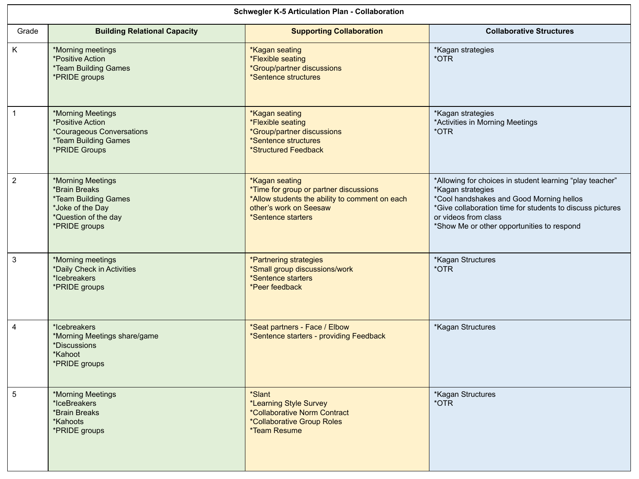| <b>Schwegler K-5 Articulation Plan - Collaboration</b> |                                                                                                                                                |                                                                                                                                                                   |                                                                                                                                                                                                                                                              |  |
|--------------------------------------------------------|------------------------------------------------------------------------------------------------------------------------------------------------|-------------------------------------------------------------------------------------------------------------------------------------------------------------------|--------------------------------------------------------------------------------------------------------------------------------------------------------------------------------------------------------------------------------------------------------------|--|
| Grade                                                  | <b>Building Relational Capacity</b>                                                                                                            | <b>Supporting Collaboration</b>                                                                                                                                   | <b>Collaborative Structures</b>                                                                                                                                                                                                                              |  |
| K                                                      | *Morning meetings<br><i><b>*Positive Action</b></i><br><i><b>*Team Building Games</b></i><br>*PRIDE groups                                     | <b>*Kagan seating</b><br>*Flexible seating<br>*Group/partner discussions<br>*Sentence structures                                                                  | *Kagan strategies<br>*OTR                                                                                                                                                                                                                                    |  |
|                                                        | *Morning Meetings<br><i><b>*Positive Action</b></i><br><i>*Courageous Conversations</i><br><i><b>*Team Building Games</b></i><br>*PRIDE Groups | *Kagan seating<br>*Flexible seating<br>*Group/partner discussions<br>*Sentence structures<br>*Structured Feedback                                                 | *Kagan strategies<br>*Activities in Morning Meetings<br>*OTR                                                                                                                                                                                                 |  |
| $\overline{2}$                                         | *Morning Meetings<br>*Brain Breaks<br><i><b>*Team Building Games</b></i><br>*Joke of the Day<br>*Question of the day<br>*PRIDE groups          | <b>*Kagan seating</b><br>*Time for group or partner discussions<br>*Allow students the ability to comment on each<br>other's work on Seesaw<br>*Sentence starters | *Allowing for choices in student learning "play teacher"<br>*Kagan strategies<br>*Cool handshakes and Good Morning hellos<br>*Give collaboration time for students to discuss pictures<br>or videos from class<br>*Show Me or other opportunities to respond |  |
| 3                                                      | *Morning meetings<br>*Daily Check in Activities<br>*Icebreakers<br>*PRIDE groups                                                               | <i><b>*Partnering strategies</b></i><br>*Small group discussions/work<br>*Sentence starters<br>*Peer feedback                                                     | *Kagan Structures<br>*OTR                                                                                                                                                                                                                                    |  |
| 4                                                      | *Icebreakers<br>*Morning Meetings share/game<br>*Discussions<br>*Kahoot<br>*PRIDE groups                                                       | *Seat partners - Face / Elbow<br>*Sentence starters - providing Feedback                                                                                          | *Kagan Structures                                                                                                                                                                                                                                            |  |
| 5                                                      | *Morning Meetings<br>*IceBreakers<br>*Brain Breaks<br>*Kahoots<br>*PRIDE groups                                                                | *Slant<br>*Learning Style Survey<br>*Collaborative Norm Contract<br>*Collaborative Group Roles<br>*Team Resume                                                    | *Kagan Structures<br>*OTR                                                                                                                                                                                                                                    |  |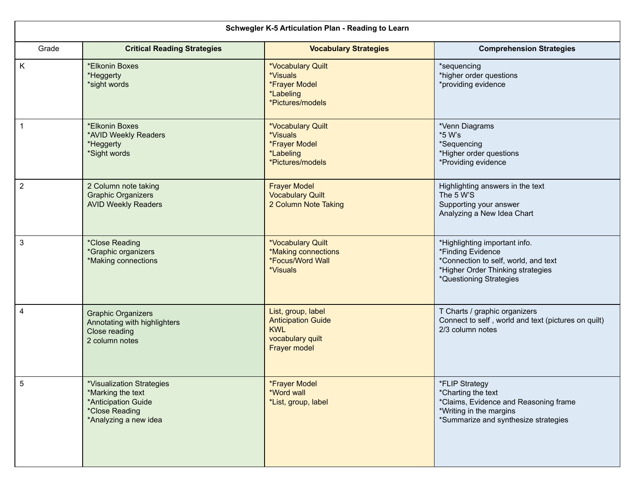| Schwegler K-5 Articulation Plan - Reading to Learn |                                                                                                                         |                                                                                                             |                                                                                                                                                            |  |
|----------------------------------------------------|-------------------------------------------------------------------------------------------------------------------------|-------------------------------------------------------------------------------------------------------------|------------------------------------------------------------------------------------------------------------------------------------------------------------|--|
| Grade                                              | <b>Critical Reading Strategies</b>                                                                                      | <b>Vocabulary Strategies</b>                                                                                | <b>Comprehension Strategies</b>                                                                                                                            |  |
| K                                                  | *Elkonin Boxes<br>*Heggerty<br>*sight words                                                                             | *Vocabulary Quilt<br>*Visuals<br><i><b>*Frayer Model</b></i><br><i><b>*Labeling</b></i><br>*Pictures/models | *sequencing<br>*higher order questions<br>*providing evidence                                                                                              |  |
|                                                    | *Elkonin Boxes<br>*AVID Weekly Readers<br>*Heggerty<br>*Sight words                                                     | *Vocabulary Quilt<br>*Visuals<br>*Frayer Model<br>*Labeling<br>*Pictures/models                             | *Venn Diagrams<br>*5 W's<br>*Sequencing<br>*Higher order questions<br>*Providing evidence                                                                  |  |
| $\overline{2}$                                     | 2 Column note taking<br><b>Graphic Organizers</b><br><b>AVID Weekly Readers</b>                                         | <b>Frayer Model</b><br><b>Vocabulary Quilt</b><br>2 Column Note Taking                                      | Highlighting answers in the text<br>The 5 W'S<br>Supporting your answer<br>Analyzing a New Idea Chart                                                      |  |
| 3                                                  | *Close Reading<br>*Graphic organizers<br>*Making connections                                                            | *Vocabulary Quilt<br>*Making connections<br><i><b>*Focus/Word Wall</b></i><br>*Visuals                      | *Highlighting important info.<br>*Finding Evidence<br>*Connection to self, world, and text<br>*Higher Order Thinking strategies<br>*Questioning Strategies |  |
| 4                                                  | <b>Graphic Organizers</b><br>Annotating with highlighters<br>Close reading<br>2 column notes                            | List, group, label<br><b>Anticipation Guide</b><br><b>KWL</b><br>vocabulary quilt<br><b>Frayer model</b>    | T Charts / graphic organizers<br>Connect to self, world and text (pictures on quilt)<br>2/3 column notes                                                   |  |
| 5                                                  | *Visualization Strategies<br>*Marking the text<br>*Anticipation Guide<br><i>*Close Reading</i><br>*Analyzing a new idea | *Frayer Model<br>*Word wall<br>*List, group, label                                                          | *FLIP Strategy<br>*Charting the text<br>*Claims, Evidence and Reasoning frame<br>*Writing in the margins<br>*Summarize and synthesize strategies           |  |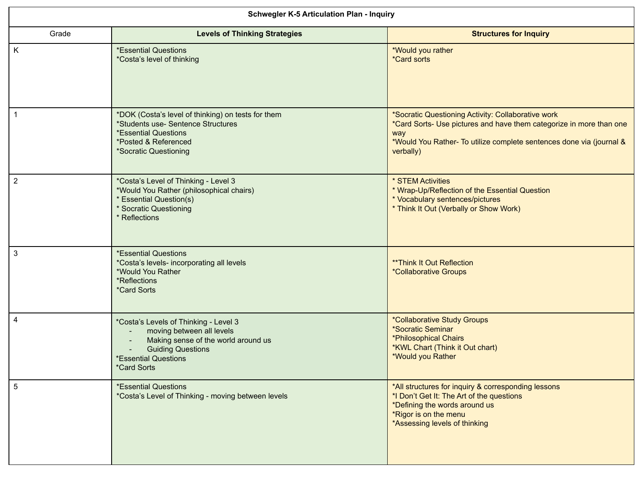| <b>Schwegler K-5 Articulation Plan - Inquiry</b> |                                                                                                                                                                                            |                                                                                                                                                                                                                       |  |
|--------------------------------------------------|--------------------------------------------------------------------------------------------------------------------------------------------------------------------------------------------|-----------------------------------------------------------------------------------------------------------------------------------------------------------------------------------------------------------------------|--|
| Grade                                            | <b>Levels of Thinking Strategies</b>                                                                                                                                                       | <b>Structures for Inquiry</b>                                                                                                                                                                                         |  |
| K                                                | <b>*Essential Questions</b><br>*Costa's level of thinking                                                                                                                                  | *Would you rather<br><i>*Card sorts</i>                                                                                                                                                                               |  |
|                                                  | *DOK (Costa's level of thinking) on tests for them<br>*Students use- Sentence Structures<br><b>*Essential Questions</b><br>*Posted & Referenced<br>*Socratic Questioning                   | *Socratic Questioning Activity: Collaborative work<br>*Card Sorts- Use pictures and have them categorize in more than one<br>way<br>*Would You Rather- To utilize complete sentences done via (journal &<br>verbally) |  |
| $\overline{2}$                                   | *Costa's Level of Thinking - Level 3<br>*Would You Rather (philosophical chairs)<br><b>Essential Question(s)</b><br><b>Socratic Questioning</b><br><b>Reflections</b>                      | * STEM Activities<br>* Wrap-Up/Reflection of the Essential Question<br>* Vocabulary sentences/pictures<br>* Think It Out (Verbally or Show Work)                                                                      |  |
| 3                                                | <i>*Essential Questions</i><br>*Costa's levels- incorporating all levels<br>*Would You Rather<br>*Reflections<br><i><b>*Card Sorts</b></i>                                                 | <b>**Think It Out Reflection</b><br><i>*Collaborative Groups</i>                                                                                                                                                      |  |
| 4                                                | *Costa's Levels of Thinking - Level 3<br>moving between all levels<br>Making sense of the world around us<br><b>Guiding Questions</b><br>*Essential Questions<br><i><b>*Card Sorts</b></i> | *Collaborative Study Groups<br>*Socratic Seminar<br>*Philosophical Chairs<br>*KWL Chart (Think it Out chart)<br>*Would you Rather                                                                                     |  |
| 5                                                | <i>*Essential Questions</i><br>*Costa's Level of Thinking - moving between levels                                                                                                          | *All structures for inquiry & corresponding lessons<br>*I Don't Get It: The Art of the questions<br>*Defining the words around us<br>*Rigor is on the menu<br>*Assessing levels of thinking                           |  |